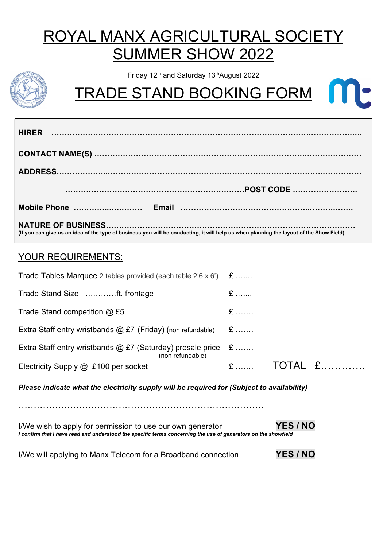# ROYAL MANX AGRICULTURAL SOCIET SUMMER SHOW 2022

Friday 12<sup>th</sup> and Saturday 13<sup>th</sup>August 2022

TRADE STAND BOOKING FORM

| <b>HIRER</b>                                                                                                                            |
|-----------------------------------------------------------------------------------------------------------------------------------------|
|                                                                                                                                         |
|                                                                                                                                         |
|                                                                                                                                         |
|                                                                                                                                         |
| (If you can give us an idea of the type of business you will be conducting, it will help us when planning the layout of the Show Field) |

### YOUR REQUIREMENTS:

| <b>Trade Tables Marquee</b> 2 tables provided (each table $2'6 \times 6'$ ) $\&$           |     |  |         |  |
|--------------------------------------------------------------------------------------------|-----|--|---------|--|
| Trade Stand Size ft. frontage                                                              | $E$ |  |         |  |
| Trade Stand competition $@$ £5                                                             | $E$ |  |         |  |
| Extra Staff entry wristbands $@$ £7 (Friday) (non refundable) $E$                          |     |  |         |  |
| Extra Staff entry wristbands $\omega$ £7 (Saturday) presale price £<br>(non refundable)    |     |  |         |  |
| Electricity Supply @ £100 per socket                                                       |     |  | TOTAL £ |  |
| Please indicate what the electricity supply will be required for (Subject to availability) |     |  |         |  |
|                                                                                            |     |  |         |  |

I/We wish to apply for permission to use our own generator **YES / NO** I confirm that I have read and understood the specific terms concerning the use of generators on the showfield

| I/We will applying to Manx Telecom for a Broadband connection | <b>YES / NO</b> |
|---------------------------------------------------------------|-----------------|
|---------------------------------------------------------------|-----------------|